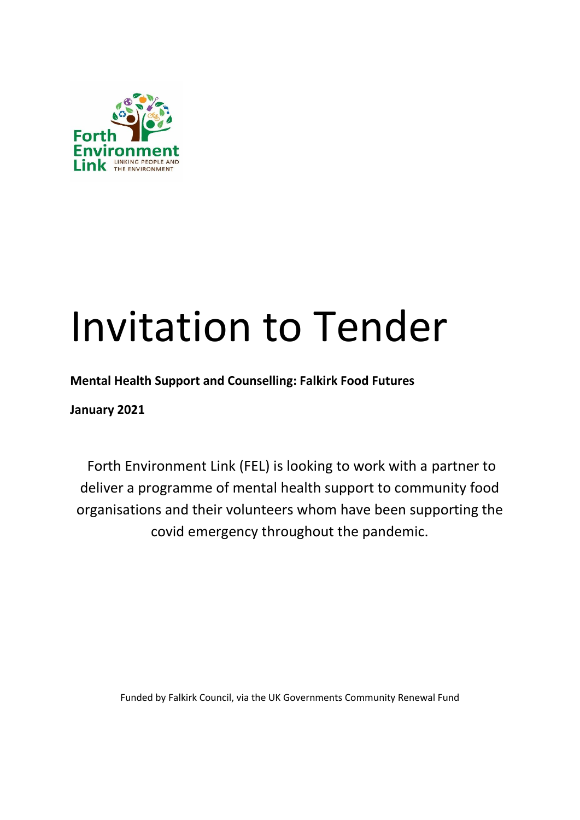

# Invitation to Tender

**Mental Health Support and Counselling: Falkirk Food Futures** 

**January 2021**

Forth Environment Link (FEL) is looking to work with a partner to deliver a programme of mental health support to community food organisations and their volunteers whom have been supporting the covid emergency throughout the pandemic.

Funded by Falkirk Council, via the UK Governments Community Renewal Fund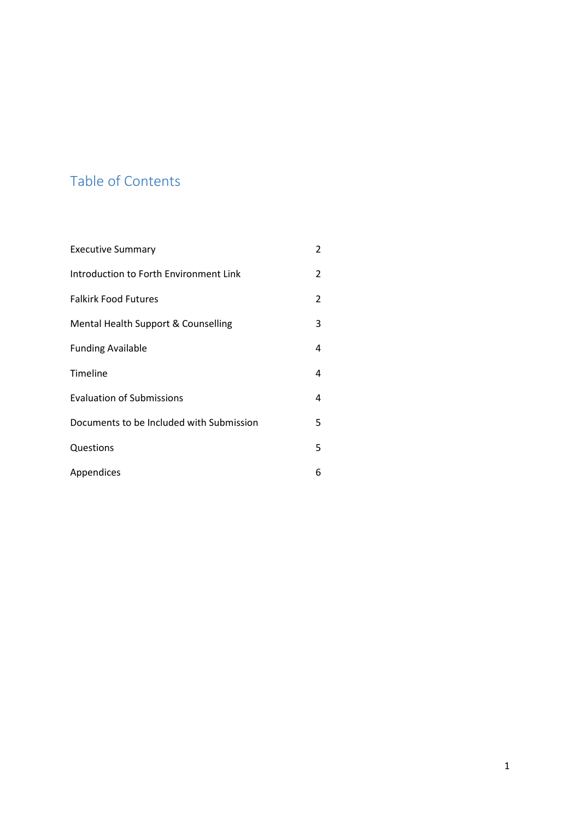# Table of Contents

| <b>Executive Summary</b>                 | 2 |
|------------------------------------------|---|
| Introduction to Forth Environment Link   | 2 |
| <b>Falkirk Food Futures</b>              | 2 |
| Mental Health Support & Counselling      | 3 |
| <b>Funding Available</b>                 | 4 |
| Timeline                                 | 4 |
| <b>Evaluation of Submissions</b>         | 4 |
| Documents to be Included with Submission | 5 |
| Questions                                | 5 |
| Appendices                               | 6 |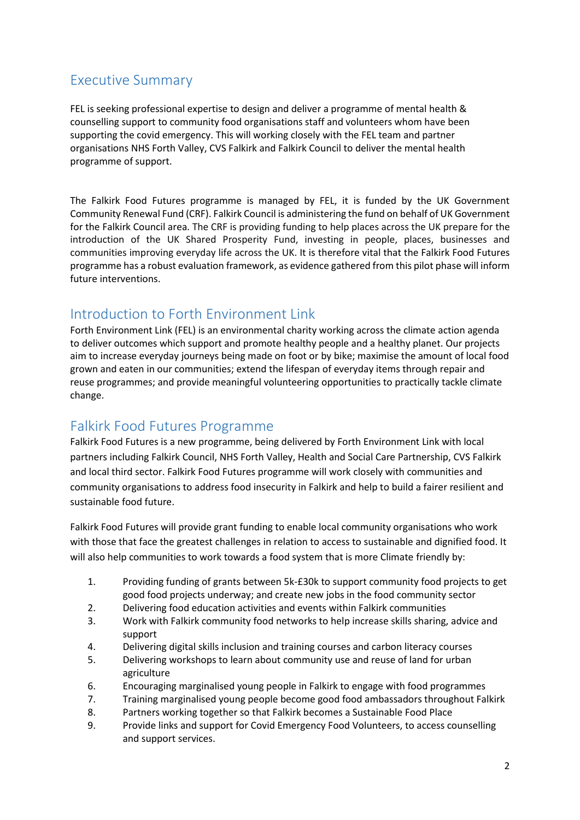# Executive Summary

FEL is seeking professional expertise to design and deliver a programme of mental health & counselling support to community food organisations staff and volunteers whom have been supporting the covid emergency. This will working closely with the FEL team and partner organisations NHS Forth Valley, CVS Falkirk and Falkirk Council to deliver the mental health programme of support.

The Falkirk Food Futures programme is managed by FEL, it is funded by the UK Government Community Renewal Fund (CRF). Falkirk Council is administering the fund on behalf of UK Government for the Falkirk Council area. The CRF is providing funding to help places across the UK prepare for the introduction of the UK Shared Prosperity Fund, investing in people, places, businesses and communities improving everyday life across the UK. It is therefore vital that the Falkirk Food Futures programme has a robust evaluation framework, as evidence gathered from this pilot phase will inform future interventions.

# Introduction to Forth Environment Link

Forth Environment Link (FEL) is an environmental charity working across the climate action agenda to deliver outcomes which support and promote healthy people and a healthy planet. Our projects aim to increase everyday journeys being made on foot or by bike; maximise the amount of local food grown and eaten in our communities; extend the lifespan of everyday items through repair and reuse programmes; and provide meaningful volunteering opportunities to practically tackle climate change.

# Falkirk Food Futures Programme

Falkirk Food Futures is a new programme, being delivered by Forth Environment Link with local partners including Falkirk Council, NHS Forth Valley, Health and Social Care Partnership, CVS Falkirk and local third sector. Falkirk Food Futures programme will work closely with communities and community organisations to address food insecurity in Falkirk and help to build a fairer resilient and sustainable food future.

Falkirk Food Futures will provide grant funding to enable local community organisations who work with those that face the greatest challenges in relation to access to sustainable and dignified food. It will also help communities to work towards a food system that is more Climate friendly by:

- 1. Providing funding of grants between 5k-£30k to support community food projects to get good food projects underway; and create new jobs in the food community sector
- 2. Delivering food education activities and events within Falkirk communities
- 3. Work with Falkirk community food networks to help increase skills sharing, advice and support
- 4. Delivering digital skills inclusion and training courses and carbon literacy courses
- 5. Delivering workshops to learn about community use and reuse of land for urban agriculture
- 6. Encouraging marginalised young people in Falkirk to engage with food programmes
- 7. Training marginalised young people become good food ambassadors throughout Falkirk
- 8. Partners working together so that Falkirk becomes a Sustainable Food Place
- 9. Provide links and support for Covid Emergency Food Volunteers, to access counselling and support services.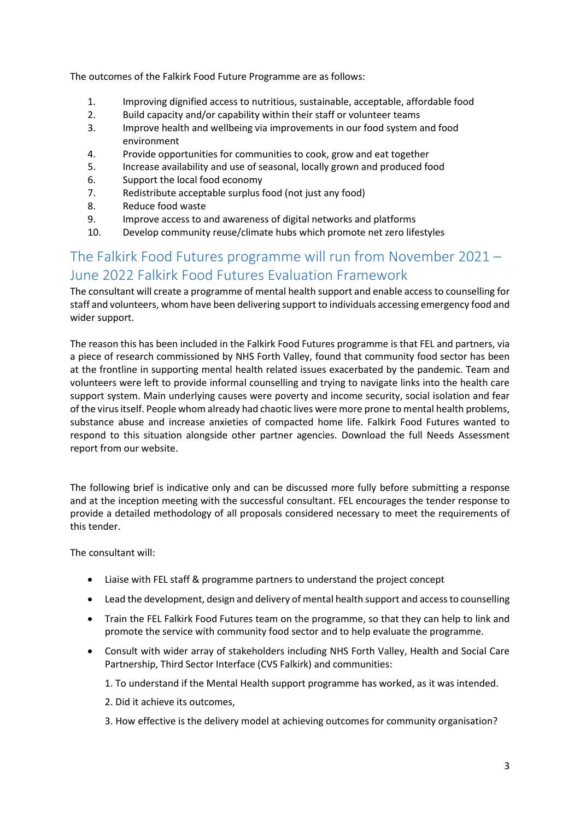The outcomes of the Falkirk Food Future Programme are as follows:

- 1. Improving dignified access to nutritious, sustainable, acceptable, affordable food
- 2. Build capacity and/or capability within their staff or volunteer teams
- 3. Improve health and wellbeing via improvements in our food system and food environment
- 4. Provide opportunities for communities to cook, grow and eat together
- 5. Increase availability and use of seasonal, locally grown and produced food
- 6. Support the local food economy
- 7. Redistribute acceptable surplus food (not just any food)
- 8. Reduce food waste
- 9. Improve access to and awareness of digital networks and platforms
- 10. Develop community reuse/climate hubs which promote net zero lifestyles

# The Falkirk Food Futures programme will run from November 2021 – June 2022 Falkirk Food Futures Evaluation Framework

The consultant will create a programme of mental health support and enable access to counselling for staff and volunteers, whom have been delivering support to individuals accessing emergency food and wider support.

The reason this has been included in the Falkirk Food Futures programme is that FEL and partners, via a piece of research commissioned by NHS Forth Valley, found that community food sector has been at the frontline in supporting mental health related issues exacerbated by the pandemic. Team and volunteers were left to provide informal counselling and trying to navigate links into the health care support system. Main underlying causes were poverty and income security, social isolation and fear of the virus itself. People whom already had chaotic lives were more prone to mental health problems, substance abuse and increase anxieties of compacted home life. Falkirk Food Futures wanted to respond to this situation alongside other partner agencies. Download the full Needs Assessment report from our website.

The following brief is indicative only and can be discussed more fully before submitting a response and at the inception meeting with the successful consultant. FEL encourages the tender response to provide a detailed methodology of all proposals considered necessary to meet the requirements of this tender.

The consultant will:

- Liaise with FEL staff & programme partners to understand the project concept
- Lead the development, design and delivery of mental health support and access to counselling
- Train the FEL Falkirk Food Futures team on the programme, so that they can help to link and promote the service with community food sector and to help evaluate the programme.
- Consult with wider array of stakeholders including NHS Forth Valley, Health and Social Care Partnership, Third Sector Interface (CVS Falkirk) and communities:
	- 1. To understand if the Mental Health support programme has worked, as it was intended.
	- 2. Did it achieve its outcomes,
	- 3. How effective is the delivery model at achieving outcomes for community organisation?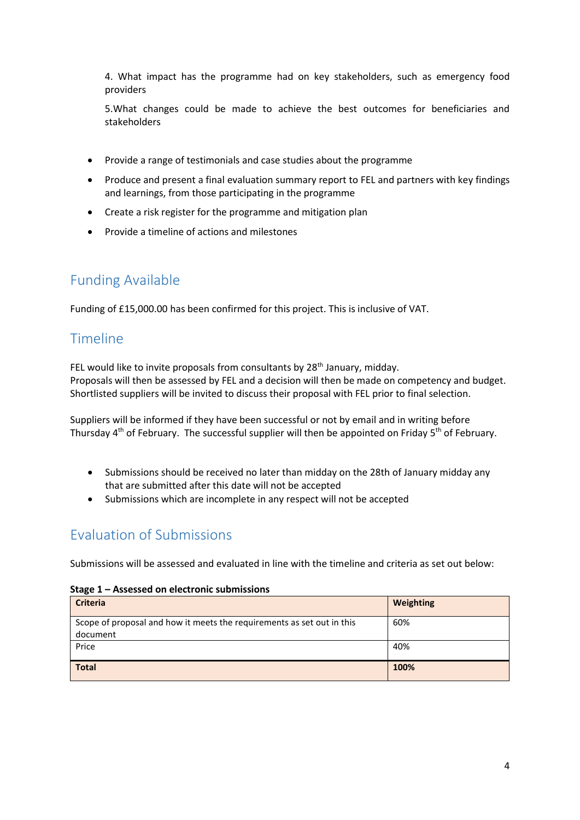4. What impact has the programme had on key stakeholders, such as emergency food providers

5.What changes could be made to achieve the best outcomes for beneficiaries and stakeholders

- Provide a range of testimonials and case studies about the programme
- Produce and present a final evaluation summary report to FEL and partners with key findings and learnings, from those participating in the programme
- Create a risk register for the programme and mitigation plan
- Provide a timeline of actions and milestones

# Funding Available

Funding of £15,000.00 has been confirmed for this project. This is inclusive of VAT.

#### Timeline

FEL would like to invite proposals from consultants by  $28<sup>th</sup>$  January, midday. Proposals will then be assessed by FEL and a decision will then be made on competency and budget. Shortlisted suppliers will be invited to discuss their proposal with FEL prior to final selection.

Suppliers will be informed if they have been successful or not by email and in writing before Thursday 4<sup>th</sup> of February. The successful supplier will then be appointed on Friday 5<sup>th</sup> of February.

- Submissions should be received no later than midday on the 28th of January midday any that are submitted after this date will not be accepted
- Submissions which are incomplete in any respect will not be accepted

# Evaluation of Submissions

Submissions will be assessed and evaluated in line with the timeline and criteria as set out below:

| Stage 1 - Assessed on electronic submissions |  |  |
|----------------------------------------------|--|--|
|----------------------------------------------|--|--|

| <b>Criteria</b>                                                        | Weighting |
|------------------------------------------------------------------------|-----------|
| Scope of proposal and how it meets the requirements as set out in this | 60%       |
| document                                                               |           |
| Price                                                                  | 40%       |
|                                                                        |           |
| <b>Total</b>                                                           | 100%      |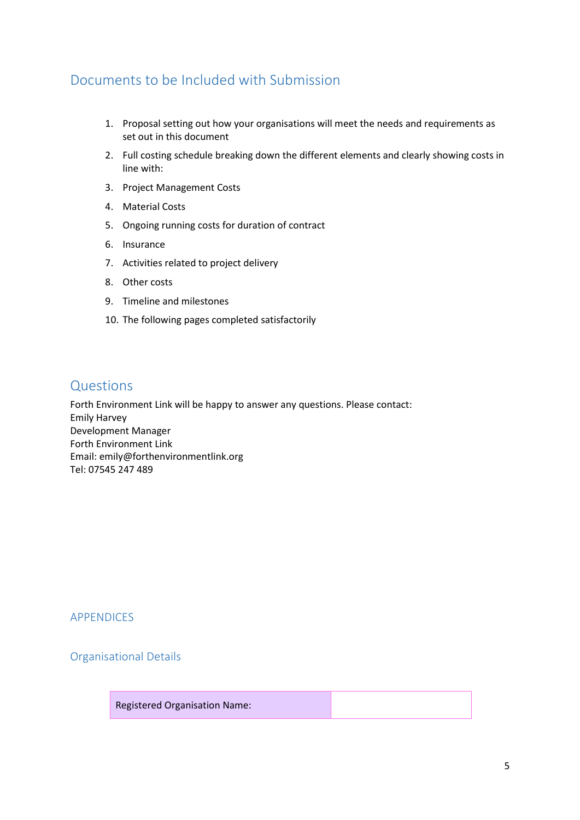# Documents to be Included with Submission

- 1. Proposal setting out how your organisations will meet the needs and requirements as set out in this document
- 2. Full costing schedule breaking down the different elements and clearly showing costs in line with:
- 3. Project Management Costs
- 4. Material Costs
- 5. Ongoing running costs for duration of contract
- 6. Insurance
- 7. Activities related to project delivery
- 8. Other costs
- 9. Timeline and milestones
- 10. The following pages completed satisfactorily

#### Questions

Forth Environment Link will be happy to answer any questions. Please contact: Emily Harvey Development Manager Forth Environment Link Email: emily@forthenvironmentlink.org Tel: 07545 247 489

APPENDICES

Organisational Details

Registered Organisation Name: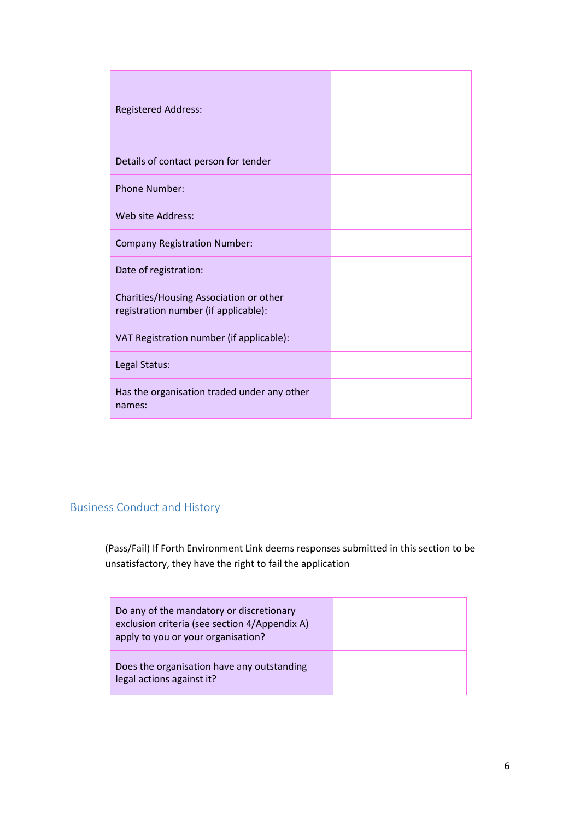| <b>Registered Address:</b>                                                     |  |
|--------------------------------------------------------------------------------|--|
| Details of contact person for tender                                           |  |
| <b>Phone Number:</b>                                                           |  |
| Web site Address:                                                              |  |
| <b>Company Registration Number:</b>                                            |  |
| Date of registration:                                                          |  |
| Charities/Housing Association or other<br>registration number (if applicable): |  |
| VAT Registration number (if applicable):                                       |  |
| Legal Status:                                                                  |  |
| Has the organisation traded under any other<br>names:                          |  |

#### Business Conduct and History

(Pass/Fail) If Forth Environment Link deems responses submitted in this section to be unsatisfactory, they have the right to fail the application

| Do any of the mandatory or discretionary<br>exclusion criteria (see section 4/Appendix A)<br>apply to you or your organisation? |  |
|---------------------------------------------------------------------------------------------------------------------------------|--|
| Does the organisation have any outstanding<br>legal actions against it?                                                         |  |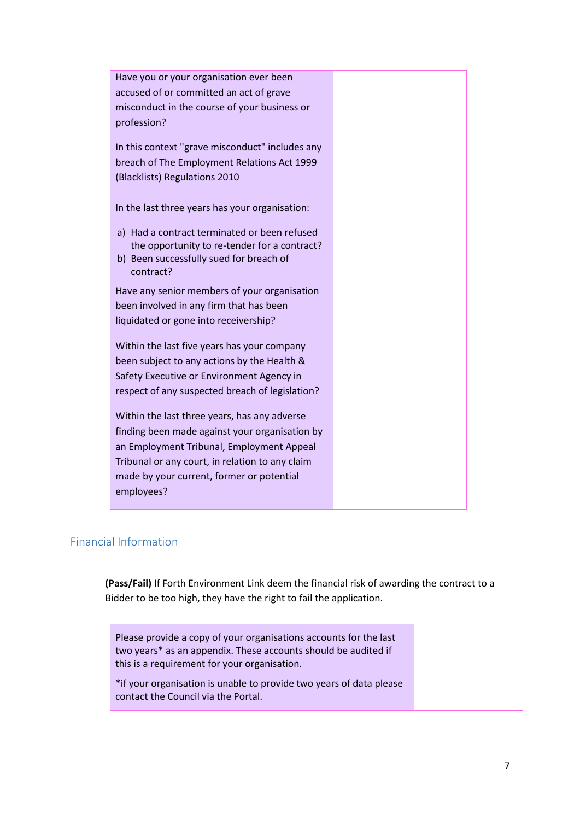| Have you or your organisation ever been         |  |
|-------------------------------------------------|--|
| accused of or committed an act of grave         |  |
| misconduct in the course of your business or    |  |
| profession?                                     |  |
|                                                 |  |
| In this context "grave misconduct" includes any |  |
| breach of The Employment Relations Act 1999     |  |
| (Blacklists) Regulations 2010                   |  |
| In the last three years has your organisation:  |  |
|                                                 |  |
| a) Had a contract terminated or been refused    |  |
| the opportunity to re-tender for a contract?    |  |
| b) Been successfully sued for breach of         |  |
| contract?                                       |  |
| Have any senior members of your organisation    |  |
| been involved in any firm that has been         |  |
| liquidated or gone into receivership?           |  |
| Within the last five years has your company     |  |
| been subject to any actions by the Health &     |  |
| Safety Executive or Environment Agency in       |  |
| respect of any suspected breach of legislation? |  |
|                                                 |  |
| Within the last three years, has any adverse    |  |
| finding been made against your organisation by  |  |
| an Employment Tribunal, Employment Appeal       |  |
| Tribunal or any court, in relation to any claim |  |
| made by your current, former or potential       |  |
| employees?                                      |  |
|                                                 |  |

### Financial Information

**(Pass/Fail)** If Forth Environment Link deem the financial risk of awarding the contract to a Bidder to be too high, they have the right to fail the application.

| Please provide a copy of your organisations accounts for the last<br>two years* as an appendix. These accounts should be audited if<br>this is a requirement for your organisation. |  |
|-------------------------------------------------------------------------------------------------------------------------------------------------------------------------------------|--|
| *if your organisation is unable to provide two years of data please<br>contact the Council via the Portal.                                                                          |  |